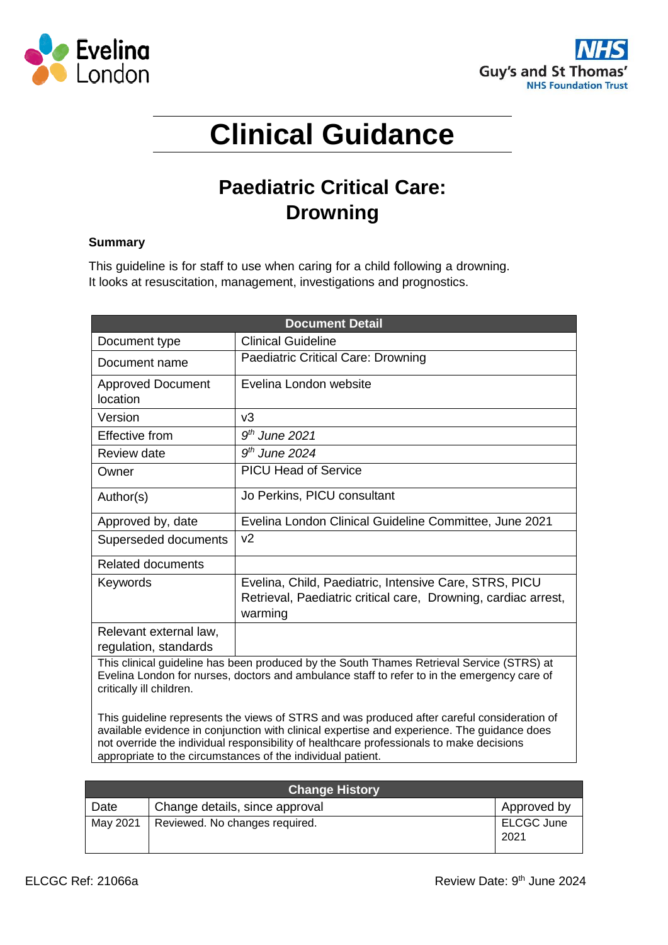



# **Clinical Guidance**

# **Paediatric Critical Care: Drowning**

# **Summary**

This guideline is for staff to use when caring for a child following a drowning. It looks at resuscitation, management, investigations and prognostics.

| <b>Document Detail</b>                                                                                                                                                                                               |                                                                                                                                     |  |
|----------------------------------------------------------------------------------------------------------------------------------------------------------------------------------------------------------------------|-------------------------------------------------------------------------------------------------------------------------------------|--|
| Document type                                                                                                                                                                                                        | <b>Clinical Guideline</b>                                                                                                           |  |
| Document name                                                                                                                                                                                                        | Paediatric Critical Care: Drowning                                                                                                  |  |
| <b>Approved Document</b><br>location                                                                                                                                                                                 | Evelina London website                                                                                                              |  |
| Version                                                                                                                                                                                                              | v3                                                                                                                                  |  |
| Effective from                                                                                                                                                                                                       | $9th$ June 2021                                                                                                                     |  |
| <b>Review date</b>                                                                                                                                                                                                   | $9th$ June 2024                                                                                                                     |  |
| Owner                                                                                                                                                                                                                | <b>PICU Head of Service</b>                                                                                                         |  |
| Author(s)                                                                                                                                                                                                            | Jo Perkins, PICU consultant                                                                                                         |  |
| Approved by, date                                                                                                                                                                                                    | Evelina London Clinical Guideline Committee, June 2021                                                                              |  |
| Superseded documents                                                                                                                                                                                                 | v2                                                                                                                                  |  |
| <b>Related documents</b>                                                                                                                                                                                             |                                                                                                                                     |  |
| Keywords                                                                                                                                                                                                             | Evelina, Child, Paediatric, Intensive Care, STRS, PICU<br>Retrieval, Paediatric critical care, Drowning, cardiac arrest,<br>warming |  |
| Relevant external law,                                                                                                                                                                                               |                                                                                                                                     |  |
| regulation, standards                                                                                                                                                                                                |                                                                                                                                     |  |
| This clinical guideline has been produced by the South Thames Retrieval Service (STRS) at<br>Evelina London for nurses, doctors and ambulance staff to refer to in the emergency care of<br>critically ill children. |                                                                                                                                     |  |
| This guideline represents the views of STRS and was produced after careful consideration of<br>ovailable ovidence in conjunction with olinical expertise and experience. The quidance deep                           |                                                                                                                                     |  |

available evidence in conjunction with clinical expertise and experience. The guidance does not override the individual responsibility of healthcare professionals to make decisions appropriate to the circumstances of the individual patient.

| <b>Change History</b> |                                |                    |
|-----------------------|--------------------------------|--------------------|
| Date                  | Change details, since approval | Approved by        |
| May 2021              | Reviewed. No changes required. | ELCGC June<br>2021 |
|                       |                                |                    |